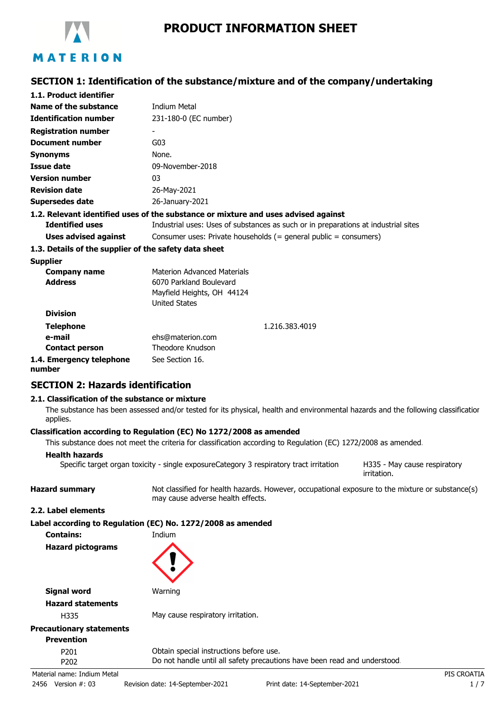

# **PRODUCT INFORMATION SHEET**

### **SECTION 1: Identification of the substance/mixture and of the company/undertaking**

| 1.1. Product identifier                               |                                                                                    |  |  |
|-------------------------------------------------------|------------------------------------------------------------------------------------|--|--|
| Name of the substance                                 | <b>Indium Metal</b>                                                                |  |  |
| <b>Identification number</b>                          | 231-180-0 (EC number)                                                              |  |  |
| <b>Registration number</b>                            |                                                                                    |  |  |
| <b>Document number</b>                                | G03                                                                                |  |  |
| <b>Synonyms</b>                                       | None.                                                                              |  |  |
| <b>Issue date</b>                                     | 09-November-2018                                                                   |  |  |
| <b>Version number</b>                                 | 03                                                                                 |  |  |
| <b>Revision date</b>                                  | 26-May-2021                                                                        |  |  |
| <b>Supersedes date</b>                                | 26-January-2021                                                                    |  |  |
|                                                       | 1.2. Relevant identified uses of the substance or mixture and uses advised against |  |  |
| <b>Identified uses</b>                                | Industrial uses: Uses of substances as such or in preparations at industrial sites |  |  |
| Uses advised against                                  | Consumer uses: Private households $(=$ general public $=$ consumers)               |  |  |
| 1.3. Details of the supplier of the safety data sheet |                                                                                    |  |  |
| <b>Supplier</b>                                       |                                                                                    |  |  |
| <b>Company name</b>                                   | <b>Materion Advanced Materials</b>                                                 |  |  |
| <b>Address</b>                                        | 6070 Parkland Boulevard                                                            |  |  |
|                                                       | Mayfield Heights, OH 44124                                                         |  |  |
|                                                       | <b>United States</b>                                                               |  |  |
| <b>Division</b>                                       |                                                                                    |  |  |
| <b>Telephone</b>                                      | 1.216.383.4019                                                                     |  |  |
| e-mail                                                | ehs@materion.com                                                                   |  |  |
| <b>Contact person</b>                                 | Theodore Knudson                                                                   |  |  |
| 1.4. Emergency telephone<br>numhar                    | See Section 16.                                                                    |  |  |

# **SECTION 2: Hazards identification**

#### **2.1. Classification of the substance or mixture**

The substance has been assessed and/or tested for its physical, health and environmental hazards and the following classification applies.

#### **Classification according to Regulation (EC) No 1272/2008 as amended**

This substance does not meet the criteria for classification according to Regulation (EC) 1272/2008 as amended.

#### **Health hazards**

H335 - May cause respiratory Specific target organ toxicity - single exposureCategory 3 respiratory tract irritation

**Hazard summary** Not classified for health hazards. However, occupational exposure to the mixture or substance(s) may cause adverse health effects.

irritation.

#### **2.2. Label elements**

| Label according to Regulation (EC) No. 1272/2008 as amended |  |  |  |  |
|-------------------------------------------------------------|--|--|--|--|
|-------------------------------------------------------------|--|--|--|--|

**Contains:** Indium **Hazard pictograms**



| Signal word                     | Warning |
|---------------------------------|---------|
| <b>Hazard statements</b>        |         |
| H335                            | May cau |
| <b>Precautionary statements</b> |         |

lay cause respiratory irritation.

# **Prevention**

P201 Obtain special instructions before use. P202 Do not handle until all safety precautions have been read and understood.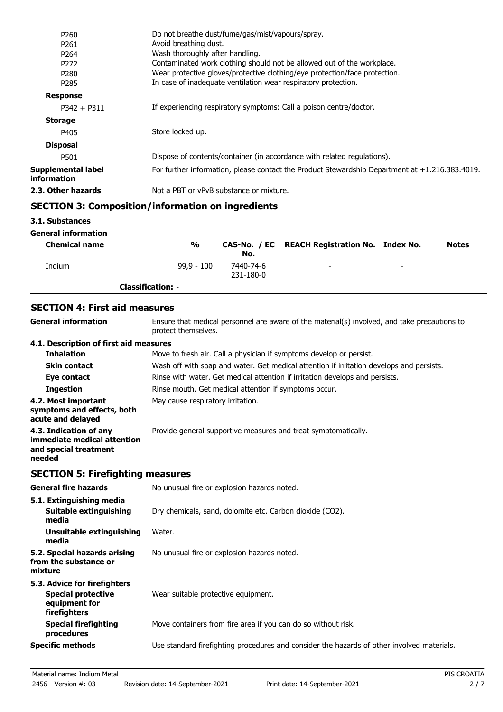| P <sub>260</sub>                  | Do not breathe dust/fume/gas/mist/vapours/spray.                                               |
|-----------------------------------|------------------------------------------------------------------------------------------------|
| P <sub>261</sub>                  | Avoid breathing dust.                                                                          |
| P <sub>264</sub>                  | Wash thoroughly after handling.                                                                |
| P <sub>272</sub>                  | Contaminated work clothing should not be allowed out of the workplace.                         |
| P <sub>280</sub>                  | Wear protective gloves/protective clothing/eye protection/face protection.                     |
| P <sub>2</sub> 85                 | In case of inadequate ventilation wear respiratory protection.                                 |
| <b>Response</b>                   |                                                                                                |
| $P342 + P311$                     | If experiencing respiratory symptoms: Call a poison centre/doctor.                             |
| <b>Storage</b>                    |                                                                                                |
| P405                              | Store locked up.                                                                               |
| <b>Disposal</b>                   |                                                                                                |
| P501                              | Dispose of contents/container (in accordance with related regulations).                        |
| Supplemental label<br>information | For further information, please contact the Product Stewardship Department at +1.216.383.4019. |
| 2.3. Other hazards                | Not a PBT or vPvB substance or mixture.                                                        |
|                                   |                                                                                                |

### **SECTION 3: Composition/information on ingredients**

**3.1. Substances**

#### **General information**

| <b>Chemical name</b> | $\frac{0}{0}$            | No.                    | CAS-No. / EC REACH Registration No. Index No. |                          | <b>Notes</b> |
|----------------------|--------------------------|------------------------|-----------------------------------------------|--------------------------|--------------|
| Indium               | $99.9 - 100$             | 7440-74-6<br>231-180-0 | -                                             | $\overline{\phantom{0}}$ |              |
|                      | <b>Classification: -</b> |                        |                                               |                          |              |

### **SECTION 4: First aid measures**

| <b>General information</b>                                                               | Ensure that medical personnel are aware of the material(s) involved, and take precautions to<br>protect themselves. |
|------------------------------------------------------------------------------------------|---------------------------------------------------------------------------------------------------------------------|
| 4.1. Description of first aid measures                                                   |                                                                                                                     |
| <b>Inhalation</b>                                                                        | Move to fresh air. Call a physician if symptoms develop or persist.                                                 |
| <b>Skin contact</b>                                                                      | Wash off with soap and water. Get medical attention if irritation develops and persists.                            |
| Eye contact                                                                              | Rinse with water. Get medical attention if irritation develops and persists.                                        |
| <b>Ingestion</b>                                                                         | Rinse mouth. Get medical attention if symptoms occur.                                                               |
| 4.2. Most important<br>symptoms and effects, both<br>acute and delayed                   | May cause respiratory irritation.                                                                                   |
| 4.3. Indication of any<br>immediate medical attention<br>and special treatment<br>needed | Provide general supportive measures and treat symptomatically.                                                      |

# **SECTION 5: Firefighting measures**

| <b>General fire hazards</b>                                                                | No unusual fire or explosion hazards noted.                                                |
|--------------------------------------------------------------------------------------------|--------------------------------------------------------------------------------------------|
| 5.1. Extinguishing media<br>Suitable extinguishing<br>media                                | Dry chemicals, sand, dolomite etc. Carbon dioxide (CO2).                                   |
| Unsuitable extinguishing<br>media                                                          | Water.                                                                                     |
| 5.2. Special hazards arising<br>from the substance or<br>mixture                           | No unusual fire or explosion hazards noted.                                                |
| 5.3. Advice for firefighters<br><b>Special protective</b><br>equipment for<br>firefighters | Wear suitable protective equipment.                                                        |
| Special firefighting<br>procedures                                                         | Move containers from fire area if you can do so without risk.                              |
| <b>Specific methods</b>                                                                    | Use standard firefighting procedures and consider the hazards of other involved materials. |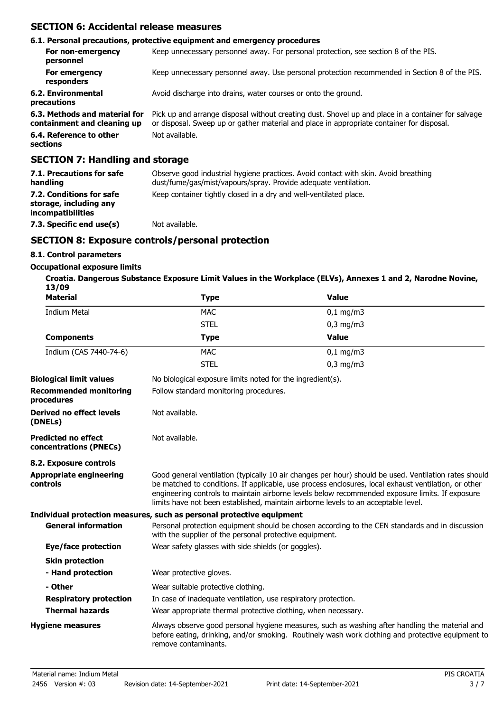### **SECTION 6: Accidental release measures**

|                                                              | 6.1. Personal precautions, protective equipment and emergency procedures                                                                                                                        |
|--------------------------------------------------------------|-------------------------------------------------------------------------------------------------------------------------------------------------------------------------------------------------|
| For non-emergency<br>personnel                               | Keep unnecessary personnel away. For personal protection, see section 8 of the PIS.                                                                                                             |
| For emergency<br>responders                                  | Keep unnecessary personnel away. Use personal protection recommended in Section 8 of the PIS.                                                                                                   |
| 6.2. Environmental<br>precautions                            | Avoid discharge into drains, water courses or onto the ground.                                                                                                                                  |
| 6.3. Methods and material for<br>containment and cleaning up | Pick up and arrange disposal without creating dust. Shovel up and place in a container for salvage<br>or disposal. Sweep up or gather material and place in appropriate container for disposal. |
| 6.4. Reference to other<br>sections                          | Not available.                                                                                                                                                                                  |
| <b>SECTION 7: Handling and storage</b>                       |                                                                                                                                                                                                 |

| 7.1. Precautions for safe<br>handling                                   | Observe good industrial hygiene practices. Avoid contact with skin. Avoid breathing<br>dust/fume/gas/mist/vapours/spray. Provide adequate ventilation. |
|-------------------------------------------------------------------------|--------------------------------------------------------------------------------------------------------------------------------------------------------|
| 7.2. Conditions for safe<br>storage, including any<br>incompatibilities | Keep container tightly closed in a dry and well-ventilated place.                                                                                      |
| 7.3. Specific end use(s)                                                | Not available.                                                                                                                                         |

### **SECTION 8: Exposure controls/personal protection**

### **8.1. Control parameters**

#### **Occupational exposure limits**

**Croatia. Dangerous Substance Exposure Limit Values in the Workplace (ELVs), Annexes 1 and 2, Narodne Novine, 13/09**

| <b>Material</b>                                      | <b>Type</b>                                                                                                                                                                                                                                                                                                                                                                                            | <b>Value</b>                                                                                                                                                                                        |  |
|------------------------------------------------------|--------------------------------------------------------------------------------------------------------------------------------------------------------------------------------------------------------------------------------------------------------------------------------------------------------------------------------------------------------------------------------------------------------|-----------------------------------------------------------------------------------------------------------------------------------------------------------------------------------------------------|--|
| <b>Indium Metal</b>                                  | <b>MAC</b>                                                                                                                                                                                                                                                                                                                                                                                             | $0,1$ mg/m3                                                                                                                                                                                         |  |
|                                                      | <b>STEL</b>                                                                                                                                                                                                                                                                                                                                                                                            | $0,3$ mg/m $3$                                                                                                                                                                                      |  |
| <b>Components</b>                                    | <b>Type</b>                                                                                                                                                                                                                                                                                                                                                                                            | <b>Value</b>                                                                                                                                                                                        |  |
| Indium (CAS 7440-74-6)                               | <b>MAC</b>                                                                                                                                                                                                                                                                                                                                                                                             | $0,1$ mg/m3                                                                                                                                                                                         |  |
|                                                      | <b>STEL</b>                                                                                                                                                                                                                                                                                                                                                                                            | $0,3$ mg/m $3$                                                                                                                                                                                      |  |
| <b>Biological limit values</b>                       | No biological exposure limits noted for the ingredient(s).                                                                                                                                                                                                                                                                                                                                             |                                                                                                                                                                                                     |  |
| <b>Recommended monitoring</b><br>procedures          | Follow standard monitoring procedures.                                                                                                                                                                                                                                                                                                                                                                 |                                                                                                                                                                                                     |  |
| <b>Derived no effect levels</b><br>(DNELs)           | Not available.                                                                                                                                                                                                                                                                                                                                                                                         |                                                                                                                                                                                                     |  |
| <b>Predicted no effect</b><br>concentrations (PNECs) | Not available.                                                                                                                                                                                                                                                                                                                                                                                         |                                                                                                                                                                                                     |  |
| 8.2. Exposure controls                               |                                                                                                                                                                                                                                                                                                                                                                                                        |                                                                                                                                                                                                     |  |
| <b>Appropriate engineering</b><br>controls           | Good general ventilation (typically 10 air changes per hour) should be used. Ventilation rates should<br>be matched to conditions. If applicable, use process enclosures, local exhaust ventilation, or other<br>engineering controls to maintain airborne levels below recommended exposure limits. If exposure<br>limits have not been established, maintain airborne levels to an acceptable level. |                                                                                                                                                                                                     |  |
|                                                      | Individual protection measures, such as personal protective equipment                                                                                                                                                                                                                                                                                                                                  |                                                                                                                                                                                                     |  |
| <b>General information</b>                           | Personal protection equipment should be chosen according to the CEN standards and in discussion<br>with the supplier of the personal protective equipment.                                                                                                                                                                                                                                             |                                                                                                                                                                                                     |  |
| Eye/face protection                                  | Wear safety glasses with side shields (or goggles).                                                                                                                                                                                                                                                                                                                                                    |                                                                                                                                                                                                     |  |
| <b>Skin protection</b>                               |                                                                                                                                                                                                                                                                                                                                                                                                        |                                                                                                                                                                                                     |  |
| - Hand protection                                    | Wear protective gloves.                                                                                                                                                                                                                                                                                                                                                                                |                                                                                                                                                                                                     |  |
| - Other                                              | Wear suitable protective clothing.                                                                                                                                                                                                                                                                                                                                                                     |                                                                                                                                                                                                     |  |
| <b>Respiratory protection</b>                        | In case of inadequate ventilation, use respiratory protection.                                                                                                                                                                                                                                                                                                                                         |                                                                                                                                                                                                     |  |
| <b>Thermal hazards</b>                               | Wear appropriate thermal protective clothing, when necessary.                                                                                                                                                                                                                                                                                                                                          |                                                                                                                                                                                                     |  |
| <b>Hygiene measures</b>                              | remove contaminants.                                                                                                                                                                                                                                                                                                                                                                                   | Always observe good personal hygiene measures, such as washing after handling the material and<br>before eating, drinking, and/or smoking. Routinely wash work clothing and protective equipment to |  |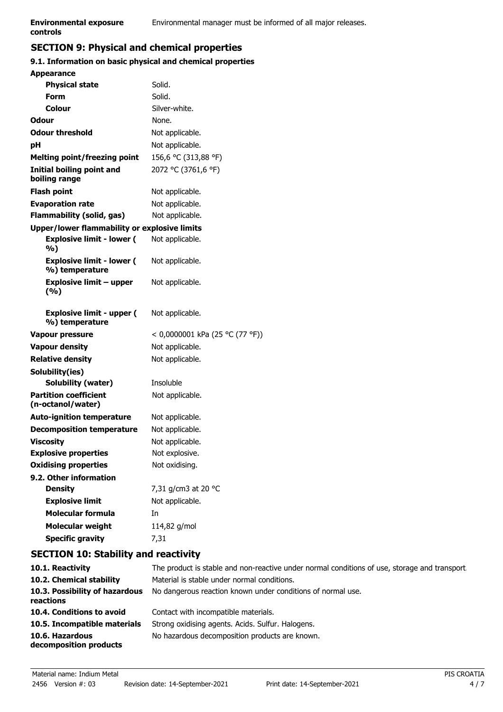# **controls**

# **SECTION 9: Physical and chemical properties**

### **9.1. Information on basic physical and chemical properties**

| <b>Appearance</b>                                   |                                 |
|-----------------------------------------------------|---------------------------------|
| <b>Physical state</b>                               | Solid.                          |
| <b>Form</b>                                         | Solid.                          |
| Colour                                              | Silver-white.                   |
| Odour                                               | None.                           |
| <b>Odour threshold</b>                              | Not applicable.                 |
| рH                                                  | Not applicable.                 |
| <b>Melting point/freezing point</b>                 | 156,6 °C (313,88 °F)            |
| <b>Initial boiling point and</b><br>boiling range   | 2072 °C (3761,6 °F)             |
| <b>Flash point</b>                                  | Not applicable.                 |
| <b>Evaporation rate</b>                             | Not applicable.                 |
| Flammability (solid, gas)                           | Not applicable.                 |
| <b>Upper/lower flammability or explosive limits</b> |                                 |
| <b>Explosive limit - lower (</b><br>%)              | Not applicable.                 |
| <b>Explosive limit - lower (</b><br>%) temperature  | Not applicable.                 |
| <b>Explosive limit - upper</b><br>(%)               | Not applicable.                 |
| <b>Explosive limit - upper (</b><br>%) temperature  | Not applicable.                 |
| <b>Vapour pressure</b>                              | < 0,0000001 kPa (25 °C (77 °F)) |
| <b>Vapour density</b>                               | Not applicable.                 |
| <b>Relative density</b>                             | Not applicable.                 |
| Solubility(ies)                                     |                                 |
| <b>Solubility (water)</b>                           | Insoluble                       |
| <b>Partition coefficient</b><br>(n-octanol/water)   | Not applicable.                 |
| <b>Auto-ignition temperature</b>                    | Not applicable.                 |
| <b>Decomposition temperature</b>                    | Not applicable.                 |
| <b>Viscosity</b>                                    | Not applicable.                 |
| <b>Explosive properties</b>                         | Not explosive.                  |
| <b>Oxidising properties</b>                         | Not oxidising.                  |
| 9.2. Other information                              |                                 |
| <b>Density</b>                                      | 7,31 g/cm3 at 20 °C             |
| <b>Explosive limit</b>                              | Not applicable.                 |
| <b>Molecular formula</b>                            | In                              |
| <b>Molecular weight</b>                             | 114,82 g/mol                    |
| <b>Specific gravity</b>                             | 7,31                            |

# **SECTION 10: Stability and reactivity**

| 10.1. Reactivity                            | The product is stable and non-reactive under normal conditions of use, storage and transport. |
|---------------------------------------------|-----------------------------------------------------------------------------------------------|
| 10.2. Chemical stability                    | Material is stable under normal conditions.                                                   |
| 10.3. Possibility of hazardous<br>reactions | No dangerous reaction known under conditions of normal use.                                   |
| 10.4. Conditions to avoid                   | Contact with incompatible materials.                                                          |
| 10.5. Incompatible materials                | Strong oxidising agents. Acids. Sulfur. Halogens.                                             |
| 10.6. Hazardous<br>decomposition products   | No hazardous decomposition products are known.                                                |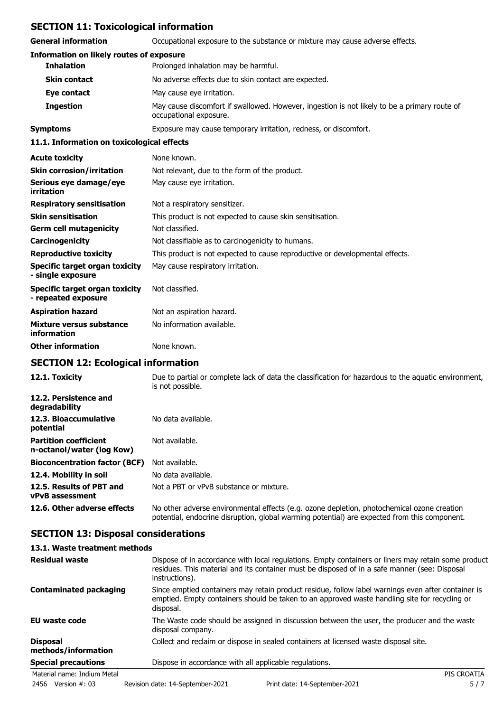### **SECTION 11: Toxicological information**

**General information** Occupational exposure to the substance or mixture may cause adverse effects.

| general miloliniation                                 | Occupational exposure to the substance of infixture may cause auverse effects.                                         |
|-------------------------------------------------------|------------------------------------------------------------------------------------------------------------------------|
| <b>Information on likely routes of exposure</b>       |                                                                                                                        |
| <b>Inhalation</b>                                     | Prolonged inhalation may be harmful.                                                                                   |
| <b>Skin contact</b>                                   | No adverse effects due to skin contact are expected.                                                                   |
| Eye contact                                           | May cause eye irritation.                                                                                              |
| <b>Ingestion</b>                                      | May cause discomfort if swallowed. However, ingestion is not likely to be a primary route of<br>occupational exposure. |
| <b>Symptoms</b>                                       | Exposure may cause temporary irritation, redness, or discomfort.                                                       |
| 11.1. Information on toxicological effects            |                                                                                                                        |
| <b>Acute toxicity</b>                                 | None known.                                                                                                            |
| <b>Skin corrosion/irritation</b>                      | Not relevant, due to the form of the product.                                                                          |
| Serious eye damage/eye<br>irritation                  | May cause eye irritation.                                                                                              |
| <b>Respiratory sensitisation</b>                      | Not a respiratory sensitizer.                                                                                          |
| <b>Skin sensitisation</b>                             | This product is not expected to cause skin sensitisation.                                                              |
| <b>Germ cell mutagenicity</b>                         | Not classified.                                                                                                        |
| Carcinogenicity                                       | Not classifiable as to carcinogenicity to humans.                                                                      |
| <b>Reproductive toxicity</b>                          | This product is not expected to cause reproductive or developmental effects.                                           |
| Specific target organ toxicity<br>- single exposure   | May cause respiratory irritation.                                                                                      |
| Specific target organ toxicity<br>- repeated exposure | Not classified.                                                                                                        |
| <b>Aspiration hazard</b>                              | Not an aspiration hazard.                                                                                              |
| Mixture versus substance<br>information               | No information available.                                                                                              |
| <b>Other information</b>                              | None known.                                                                                                            |

# **SECTION 12: Ecological information**

| 12.1. Toxicity                                            | Due to partial or complete lack of data the classification for hazardous to the aquatic environment,<br>is not possible.                                                                   |
|-----------------------------------------------------------|--------------------------------------------------------------------------------------------------------------------------------------------------------------------------------------------|
| 12.2. Persistence and<br>degradability                    |                                                                                                                                                                                            |
| 12.3. Bioaccumulative<br>potential                        | No data available.                                                                                                                                                                         |
| <b>Partition coefficient</b><br>n-octanol/water (log Kow) | Not available.                                                                                                                                                                             |
| <b>Bioconcentration factor (BCF)</b>                      | Not available.                                                                                                                                                                             |
| 12.4. Mobility in soil                                    | No data available.                                                                                                                                                                         |
| 12.5. Results of PBT and<br><b>vPvB</b> assessment        | Not a PBT or vPvB substance or mixture.                                                                                                                                                    |
| 12.6. Other adverse effects                               | No other adverse environmental effects (e.g. ozone depletion, photochemical ozone creation<br>potential, endocrine disruption, global warming potential) are expected from this component. |

# **SECTION 13: Disposal considerations**

### **13.1. Waste treatment methods**

| <b>Residual waste</b>                  | Dispose of in accordance with local regulations. Empty containers or liners may retain some product<br>residues. This material and its container must be disposed of in a safe manner (see: Disposal<br>instructions). |
|----------------------------------------|------------------------------------------------------------------------------------------------------------------------------------------------------------------------------------------------------------------------|
| <b>Contaminated packaging</b>          | Since emptied containers may retain product residue, follow label warnings even after container is<br>emptied. Empty containers should be taken to an approved waste handling site for recycling or<br>disposal.       |
| <b>EU waste code</b>                   | The Waste code should be assigned in discussion between the user, the producer and the waste<br>disposal company.                                                                                                      |
| <b>Disposal</b><br>methods/information | Collect and reclaim or dispose in sealed containers at licensed waste disposal site.                                                                                                                                   |
| <b>Special precautions</b>             | Dispose in accordance with all applicable regulations.                                                                                                                                                                 |
| Material name: Indium Metal            | PIS CROATIA                                                                                                                                                                                                            |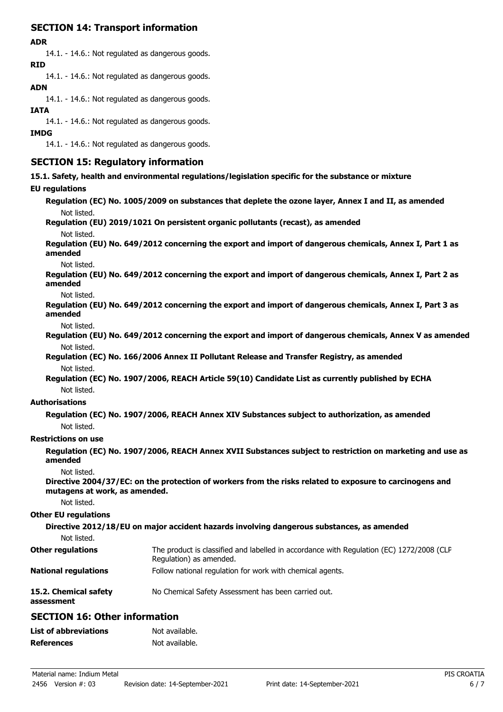# **SECTION 14: Transport information**

### **ADR**

14.1. - 14.6.: Not regulated as dangerous goods.

**RID**

14.1. - 14.6.: Not regulated as dangerous goods.

### **ADN**

14.1. - 14.6.: Not regulated as dangerous goods.

### **IATA**

14.1. - 14.6.: Not regulated as dangerous goods.

#### **IMDG**

14.1. - 14.6.: Not regulated as dangerous goods.

### **SECTION 15: Regulatory information**

**15.1. Safety, health and environmental regulations/legislation specific for the substance or mixture**

### **EU regulations**

**Regulation (EC) No. 1005/2009 on substances that deplete the ozone layer, Annex I and II, as amended** Not listed.

### **Regulation (EU) 2019/1021 On persistent organic pollutants (recast), as amended**

Not listed.

**Regulation (EU) No. 649/2012 concerning the export and import of dangerous chemicals, Annex I, Part 1 as amended**

Not listed.

**Regulation (EU) No. 649/2012 concerning the export and import of dangerous chemicals, Annex I, Part 2 as amended**

Not listed.

**Regulation (EU) No. 649/2012 concerning the export and import of dangerous chemicals, Annex I, Part 3 as amended**

Not listed.

**Regulation (EU) No. 649/2012 concerning the export and import of dangerous chemicals, Annex V as amended** Not listed.

**Regulation (EC) No. 166/2006 Annex II Pollutant Release and Transfer Registry, as amended** Not listed.

**Regulation (EC) No. 1907/2006, REACH Article 59(10) Candidate List as currently published by ECHA** Not listed.

#### **Authorisations**

**Regulation (EC) No. 1907/2006, REACH Annex XIV Substances subject to authorization, as amended** Not listed.

#### **Restrictions on use**

**Regulation (EC) No. 1907/2006, REACH Annex XVII Substances subject to restriction on marketing and use as amended**

Not listed.

**Directive 2004/37/EC: on the protection of workers from the risks related to exposure to carcinogens and mutagens at work, as amended.**

Not listed.

#### **Other EU regulations**

**Directive 2012/18/EU on major accident hazards involving dangerous substances, as amended** Not listed. The product is classified and labelled in accordance with Regulation (EC) 1272/2008 (CLP Regulation) as amended. **Other regulations National regulations** Follow national regulation for work with chemical agents. **15.2. Chemical safety** No Chemical Safety Assessment has been carried out.

## **assessment**

## **SECTION 16: Other information**

| <b>List of abbreviations</b> | Not available. |
|------------------------------|----------------|
| <b>References</b>            | Not available. |